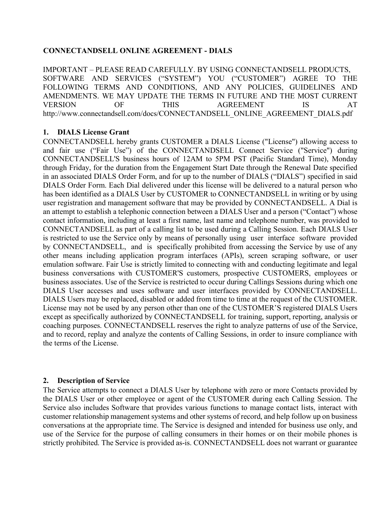### **CONNECTANDSELL ONLINE AGREEMENT - DIALS**

IMPORTANT – PLEASE READ CAREFULLY. BY USING CONNECTANDSELL PRODUCTS, SOFTWARE AND SERVICES ("SYSTEM") YOU ("CUSTOMER") AGREE TO THE FOLLOWING TERMS AND CONDITIONS, AND ANY POLICIES, GUIDELINES AND AMENDMENTS. WE MAY UPDATE THE TERMS IN FUTURE AND THE MOST CURRENT VERSION OF THIS AGREEMENT IS AT http://www.connectandsell.com/docs/CONNECTANDSELL\_ONLINE\_AGREEMENT\_DIALS.pdf

### **1. DIALS License Grant**

CONNECTANDSELL hereby grants CUSTOMER a DIALS License ("License") allowing access to and fair use ("Fair Use") of the CONNECTANDSELL Connect Service ("Service") during CONNECTANDSELL'S business hours of 12AM to 5PM PST (Pacific Standard Time), Monday through Friday, for the duration from the Engagement Start Date through the Renewal Date specified in an associated DIALS Order Form, and for up to the number of DIALS ("DIALS") specified in said DIALS Order Form. Each Dial delivered under this license will be delivered to a natural person who has been identified as a DIALS User by CUSTOMER to CONNECTANDSELL in writing or by using user registration and management software that may be provided by CONNECTANDSELL. A Dial is an attempt to establish a telephonic connection between a DIALS User and a person ("Contact") whose contact information, including at least a first name, last name and telephone number, was provided to CONNECTANDSELL as part of a calling list to be used during a Calling Session. Each DIALS User is restricted to use the Service only by means of personally using user interface software provided by CONNECTANDSELL, and is specifically prohibited from accessing the Service by use of any other means including application program interfaces (APIs), screen scraping software, or user emulation software. Fair Use is strictly limited to connecting with and conducting legitimate and legal business conversations with CUSTOMER'S customers, prospective CUSTOMERS, employees or business associates. Use of the Service is restricted to occur during Callings Sessions during which one DIALS User accesses and uses software and user interfaces provided by CONNECTANDSELL. DIALS Users may be replaced, disabled or added from time to time at the request of the CUSTOMER. License may not be used by any person other than one of the CUSTOMER'S registered DIALS Users except as specifically authorized by CONNECTANDSELL for training, support, reporting, analysis or coaching purposes. CONNECTANDSELL reserves the right to analyze patterns of use of the Service, and to record, replay and analyze the contents of Calling Sessions, in order to insure compliance with the terms of the License.

# **2. Description of Service**

The Service attempts to connect a DIALS User by telephone with zero or more Contacts provided by the DIALS User or other employee or agent of the CUSTOMER during each Calling Session. The Service also includes Software that provides various functions to manage contact lists, interact with customer relationship management systems and other systems of record, and help follow up on business conversations at the appropriate time. The Service is designed and intended for business use only, and use of the Service for the purpose of calling consumers in their homes or on their mobile phones is strictly prohibited. The Service is provided as-is. CONNECTANDSELL does not warrant or guarantee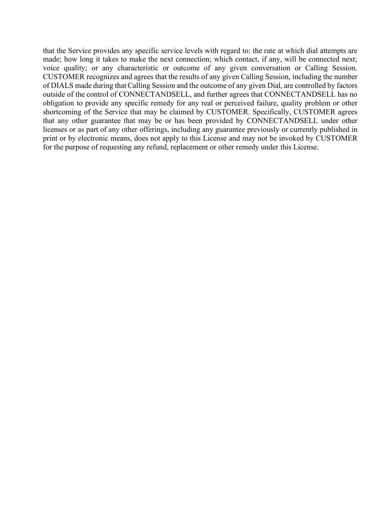that the Service provides any specific service levels with regard to: the rate at which dial attempts are made; how long it takes to make the next connection; which contact, if any, will be connected next; voice quality; or any characteristic or outcome of any given conversation or Calling Session. CUSTOMER recognizes and agrees that the results of any given Calling Session, including the number of DIALS made during that Calling Session and the outcome of any given Dial, are controlled by factors outside of the control of CONNECTANDSELL, and further agrees that CONNECTANDSELL has no obligation to provide any specific remedy for any real or perceived failure, quality problem or other shortcoming of the Service that may be claimed by CUSTOMER. Specifically, CUSTOMER agrees that any other guarantee that may be or has been provided by CONNECTANDSELL under other licenses or as part of any other offerings, including any guarantee previously or currently published in print or by electronic means, does not apply to this License and may not be invoked by CUSTOMER for the purpose of requesting any refund, replacement or other remedy under this License.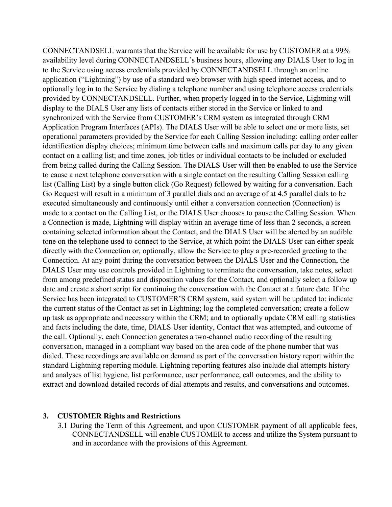CONNECTANDSELL warrants that the Service will be available for use by CUSTOMER at a 99% availability level during CONNECTANDSELL's business hours, allowing any DIALS User to log in to the Service using access credentials provided by CONNECTANDSELL through an online application ("Lightning") by use of a standard web browser with high speed internet access, and to optionally log in to the Service by dialing a telephone number and using telephone access credentials provided by CONNECTANDSELL. Further, when properly logged in to the Service, Lightning will display to the DIALS User any lists of contacts either stored in the Service or linked to and synchronized with the Service from CUSTOMER's CRM system as integrated through CRM Application Program Interfaces (APIs). The DIALS User will be able to select one or more lists, set operational parameters provided by the Service for each Calling Session including: calling order caller identification display choices; minimum time between calls and maximum calls per day to any given contact on a calling list; and time zones, job titles or individual contacts to be included or excluded from being called during the Calling Session. The DIALS User will then be enabled to use the Service to cause a next telephone conversation with a single contact on the resulting Calling Session calling list (Calling List) by a single button click (Go Request) followed by waiting for a conversation. Each Go Request will result in a minimum of 3 parallel dials and an average of at 4.5 parallel dials to be executed simultaneously and continuously until either a conversation connection (Connection) is made to a contact on the Calling List, or the DIALS User chooses to pause the Calling Session. When a Connection is made, Lightning will display within an average time of less than 2 seconds, a screen containing selected information about the Contact, and the DIALS User will be alerted by an audible tone on the telephone used to connect to the Service, at which point the DIALS User can either speak directly with the Connection or, optionally, allow the Service to play a pre-recorded greeting to the Connection. At any point during the conversation between the DIALS User and the Connection, the DIALS User may use controls provided in Lightning to terminate the conversation, take notes, select from among predefined status and disposition values for the Contact, and optionally select a follow up date and create a short script for continuing the conversation with the Contact at a future date. If the Service has been integrated to CUSTOMER'S CRM system, said system will be updated to: indicate the current status of the Contact as set in Lightning; log the completed conversation; create a follow up task as appropriate and necessary within the CRM; and to optionally update CRM calling statistics and facts including the date, time, DIALS User identity, Contact that was attempted, and outcome of the call. Optionally, each Connection generates a two-channel audio recording of the resulting conversation, managed in a compliant way based on the area code of the phone number that was dialed. These recordings are available on demand as part of the conversation history report within the standard Lightning reporting module. Lightning reporting features also include dial attempts history and analyses of list hygiene, list performance, user performance, call outcomes, and the ability to extract and download detailed records of dial attempts and results, and conversations and outcomes.

#### **3. CUSTOMER Rights and Restrictions**

3.1 During the Term of this Agreement, and upon CUSTOMER payment of all applicable fees, CONNECTANDSELL will enable CUSTOMER to access and utilize the System pursuant to and in accordance with the provisions of this Agreement.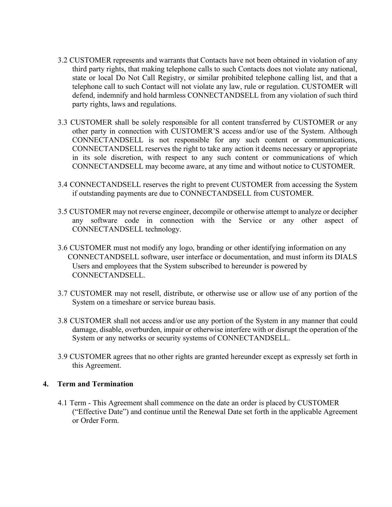- 3.2 CUSTOMER represents and warrants that Contacts have not been obtained in violation of any third party rights, that making telephone calls to such Contacts does not violate any national, state or local Do Not Call Registry, or similar prohibited telephone calling list, and that a telephone call to such Contact will not violate any law, rule or regulation. CUSTOMER will defend, indemnify and hold harmless CONNECTANDSELL from any violation of such third party rights, laws and regulations.
- 3.3 CUSTOMER shall be solely responsible for all content transferred by CUSTOMER or any other party in connection with CUSTOMER'S access and/or use of the System. Although CONNECTANDSELL is not responsible for any such content or communications, CONNECTANDSELL reserves the right to take any action it deems necessary or appropriate in its sole discretion, with respect to any such content or communications of which CONNECTANDSELL may become aware, at any time and without notice to CUSTOMER.
- 3.4 CONNECTANDSELL reserves the right to prevent CUSTOMER from accessing the System if outstanding payments are due to CONNECTANDSELL from CUSTOMER.
- 3.5 CUSTOMER may not reverse engineer, decompile or otherwise attempt to analyze or decipher any software code in connection with the Service or any other aspect of CONNECTANDSELL technology.
- 3.6 CUSTOMER must not modify any logo, branding or other identifying information on any CONNECTANDSELL software, user interface or documentation, and must inform its DIALS Users and employees that the System subscribed to hereunder is powered by CONNECTANDSELL.
- 3.7 CUSTOMER may not resell, distribute, or otherwise use or allow use of any portion of the System on a timeshare or service bureau basis.
- 3.8 CUSTOMER shall not access and/or use any portion of the System in any manner that could damage, disable, overburden, impair or otherwise interfere with or disrupt the operation of the System or any networks or security systems of CONNECTANDSELL.
- 3.9 CUSTOMER agrees that no other rights are granted hereunder except as expressly set forth in this Agreement.

# **4. Term and Termination**

4.1 Term - This Agreement shall commence on the date an order is placed by CUSTOMER ("Effective Date") and continue until the Renewal Date set forth in the applicable Agreement or Order Form.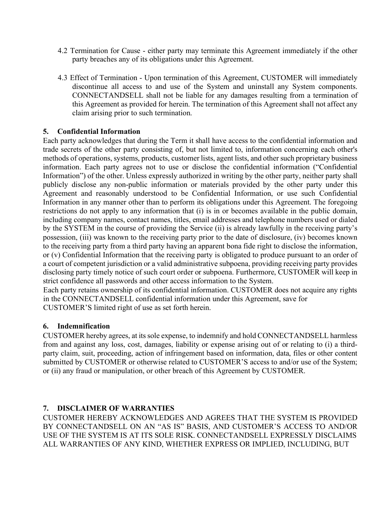- 4.2 Termination for Cause either party may terminate this Agreement immediately if the other party breaches any of its obligations under this Agreement.
- 4.3 Effect of Termination Upon termination of this Agreement, CUSTOMER will immediately discontinue all access to and use of the System and uninstall any System components. CONNECTANDSELL shall not be liable for any damages resulting from a termination of this Agreement as provided for herein. The termination of this Agreement shall not affect any claim arising prior to such termination.

### **5. Confidential Information**

Each party acknowledges that during the Term it shall have access to the confidential information and trade secrets of the other party consisting of, but not limited to, information concerning each other's methods of operations, systems, products, customer lists, agent lists, and other such proprietary business information. Each party agrees not to use or disclose the confidential information ("Confidential Information") of the other. Unless expressly authorized in writing by the other party, neither party shall publicly disclose any non-public information or materials provided by the other party under this Agreement and reasonably understood to be Confidential Information, or use such Confidential Information in any manner other than to perform its obligations under this Agreement. The foregoing restrictions do not apply to any information that (i) is in or becomes available in the public domain, including company names, contact names, titles, email addresses and telephone numbers used or dialed by the SYSTEM in the course of providing the Service (ii) is already lawfully in the receiving party's possession, (iii) was known to the receiving party prior to the date of disclosure, (iv) becomes known to the receiving party from a third party having an apparent bona fide right to disclose the information, or (v) Confidential Information that the receiving party is obligated to produce pursuant to an order of a court of competent jurisdiction or a valid administrative subpoena, providing receiving party provides disclosing party timely notice of such court order or subpoena. Furthermore, CUSTOMER will keep in strict confidence all passwords and other access information to the System.

Each party retains ownership of its confidential information. CUSTOMER does not acquire any rights in the CONNECTANDSELL confidential information under this Agreement, save for CUSTOMER'S limited right of use as set forth herein.

# **6. Indemnification**

CUSTOMER hereby agrees, at its sole expense, to indemnify and hold CONNECTANDSELL harmless from and against any loss, cost, damages, liability or expense arising out of or relating to (i) a thirdparty claim, suit, proceeding, action of infringement based on information, data, files or other content submitted by CUSTOMER or otherwise related to CUSTOMER'S access to and/or use of the System; or (ii) any fraud or manipulation, or other breach of this Agreement by CUSTOMER.

# **7. DISCLAIMER OF WARRANTIES**

CUSTOMER HEREBY ACKNOWLEDGES AND AGREES THAT THE SYSTEM IS PROVIDED BY CONNECTANDSELL ON AN "AS IS" BASIS, AND CUSTOMER'S ACCESS TO AND/OR USE OF THE SYSTEM IS AT ITS SOLE RISK. CONNECTANDSELL EXPRESSLY DISCLAIMS ALL WARRANTIES OF ANY KIND, WHETHER EXPRESS OR IMPLIED, INCLUDING, BUT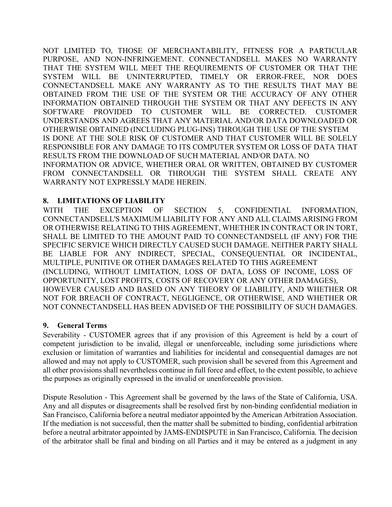NOT LIMITED TO, THOSE OF MERCHANTABILITY, FITNESS FOR A PARTICULAR PURPOSE, AND NON-INFRINGEMENT. CONNECTANDSELL MAKES NO WARRANTY THAT THE SYSTEM WILL MEET THE REQUIREMENTS OF CUSTOMER OR THAT THE SYSTEM WILL BE UNINTERRUPTED, TIMELY OR ERROR-FREE, NOR DOES CONNECTANDSELL MAKE ANY WARRANTY AS TO THE RESULTS THAT MAY BE OBTAINED FROM THE USE OF THE SYSTEM OR THE ACCURACY OF ANY OTHER INFORMATION OBTAINED THROUGH THE SYSTEM OR THAT ANY DEFECTS IN ANY SOFTWARE PROVIDED TO CUSTOMER WILL BE CORRECTED. CUSTOMER UNDERSTANDS AND AGREES THAT ANY MATERIAL AND/OR DATA DOWNLOADED OR OTHERWISE OBTAINED (INCLUDING PLUG-INS) THROUGH THE USE OF THE SYSTEM IS DONE AT THE SOLE RISK OF CUSTOMER AND THAT CUSTOMER WILL BE SOLELY RESPONSIBLE FOR ANY DAMAGE TO ITS COMPUTER SYSTEM OR LOSS OF DATA THAT RESULTS FROM THE DOWNLOAD OF SUCH MATERIAL AND/OR DATA. NO INFORMATION OR ADVICE, WHETHER ORAL OR WRITTEN, OBTAINED BY CUSTOMER FROM CONNECTANDSELL OR THROUGH THE SYSTEM SHALL CREATE ANY WARRANTY NOT EXPRESSLY MADE HEREIN.

# **8. LIMITATIONS OF LIABILITY**

WITH THE EXCEPTION OF SECTION 5, CONFIDENTIAL INFORMATION, CONNECTANDSELL'S MAXIMUM LIABILITY FOR ANY AND ALL CLAIMS ARISING FROM OR OTHERWISE RELATING TO THIS AGREEMENT, WHETHER IN CONTRACT OR IN TORT, SHALL BE LIMITED TO THE AMOUNT PAID TO CONNECTANDSELL (IF ANY) FOR THE SPECIFIC SERVICE WHICH DIRECTLY CAUSED SUCH DAMAGE. NEITHER PARTY SHALL BE LIABLE FOR ANY INDIRECT, SPECIAL, CONSEQUENTIAL OR INCIDENTAL, MULTIPLE, PUNITIVE OR OTHER DAMAGES RELATED TO THIS AGREEMENT (INCLUDING, WITHOUT LIMITATION, LOSS OF DATA, LOSS OF INCOME, LOSS OF OPPORTUNITY, LOST PROFITS, COSTS OF RECOVERY OR ANY OTHER DAMAGES), HOWEVER CAUSED AND BASED ON ANY THEORY OF LIABILITY, AND WHETHER OR NOT FOR BREACH OF CONTRACT, NEGLIGENCE, OR OTHERWISE, AND WHETHER OR NOT CONNECTANDSELL HAS BEEN ADVISED OF THE POSSIBILITY OF SUCH DAMAGES.

# **9. General Terms**

Severability - CUSTOMER agrees that if any provision of this Agreement is held by a court of competent jurisdiction to be invalid, illegal or unenforceable, including some jurisdictions where exclusion or limitation of warranties and liabilities for incidental and consequential damages are not allowed and may not apply to CUSTOMER, such provision shall be severed from this Agreement and all other provisions shall nevertheless continue in full force and effect, to the extent possible, to achieve the purposes as originally expressed in the invalid or unenforceable provision.

Dispute Resolution - This Agreement shall be governed by the laws of the State of California, USA. Any and all disputes or disagreements shall be resolved first by non-binding confidential mediation in San Francisco, California before a neutral mediator appointed by the American Arbitration Association. If the mediation is not successful, then the matter shall be submitted to binding, confidential arbitration before a neutral arbitrator appointed by JAMS-ENDISPUTE in San Francisco, California. The decision of the arbitrator shall be final and binding on all Parties and it may be entered as a judgment in any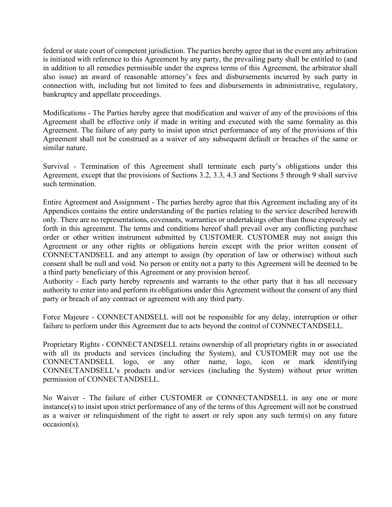federal or state court of competent jurisdiction. The parties hereby agree that in the event any arbitration is initiated with reference to this Agreement by any party, the prevailing party shall be entitled to (and in addition to all remedies permissible under the express terms of this Agreement, the arbitrator shall also issue) an award of reasonable attorney's fees and disbursements incurred by such party in connection with, including but not limited to fees and disbursements in administrative, regulatory, bankruptcy and appellate proceedings.

Modifications - The Parties hereby agree that modification and waiver of any of the provisions of this Agreement shall be effective only if made in writing and executed with the same formality as this Agreement. The failure of any party to insist upon strict performance of any of the provisions of this Agreement shall not be construed as a waiver of any subsequent default or breaches of the same or similar nature.

Survival - Termination of this Agreement shall terminate each party's obligations under this Agreement, except that the provisions of Sections 3.2, 3.3, 4.3 and Sections 5 through 9 shall survive such termination.

Entire Agreement and Assignment - The parties hereby agree that this Agreement including any of its Appendices contains the entire understanding of the parties relating to the service described herewith only. There are no representations, covenants, warranties or undertakings other than those expressly set forth in this agreement. The terms and conditions hereof shall prevail over any conflicting purchase order or other written instrument submitted by CUSTOMER. CUSTOMER may not assign this Agreement or any other rights or obligations herein except with the prior written consent of CONNECTANDSELL and any attempt to assign (by operation of law or otherwise) without such consent shall be null and void. No person or entity not a party to this Agreement will be deemed to be a third party beneficiary of this Agreement or any provision hereof.

Authority - Each party hereby represents and warrants to the other party that it has all necessary authority to enter into and perform its obligations under this Agreement without the consent of any third party or breach of any contract or agreement with any third party.

Force Majeure - CONNECTANDSELL will not be responsible for any delay, interruption or other failure to perform under this Agreement due to acts beyond the control of CONNECTANDSELL.

Proprietary Rights - CONNECTANDSELL retains ownership of all proprietary rights in or associated with all its products and services (including the System), and CUSTOMER may not use the CONNECTANDSELL logo, or any other name, logo, icon or mark identifying CONNECTANDSELL's products and/or services (including the System) without prior written permission of CONNECTANDSELL.

No Waiver - The failure of either CUSTOMER or CONNECTANDSELL in any one or more instance(s) to insist upon strict performance of any of the terms of this Agreement will not be construed as a waiver or relinquishment of the right to assert or rely upon any such term(s) on any future occasion(s).